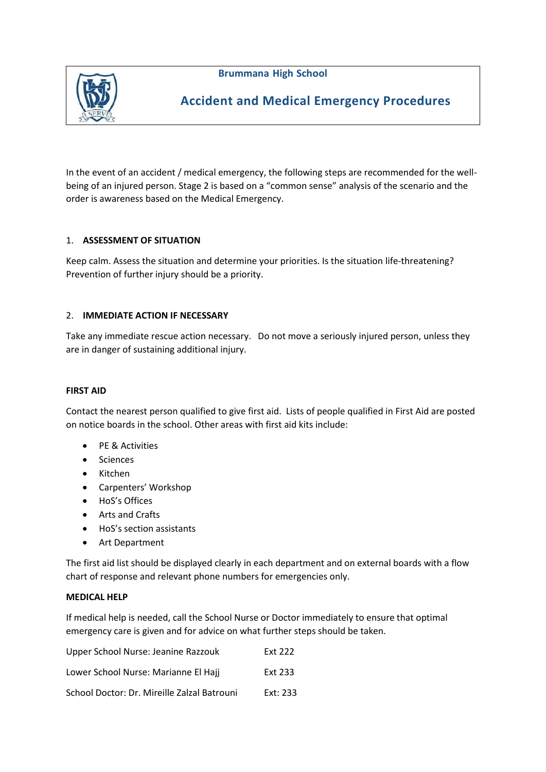**Brummana High School**



# **Accident and Medical Emergency Procedures**

In the event of an accident / medical emergency, the following steps are recommended for the wellbeing of an injured person. Stage 2 is based on a "common sense" analysis of the scenario and the order is awareness based on the Medical Emergency.

## 1. **ASSESSMENT OF SITUATION**

Keep calm. Assess the situation and determine your priorities. Is the situation life-threatening? Prevention of further injury should be a priority.

## 2. **IMMEDIATE ACTION IF NECESSARY**

Take any immediate rescue action necessary. Do not move a seriously injured person, unless they are in danger of sustaining additional injury.

## **FIRST AID**

Contact the nearest person qualified to give first aid. Lists of people qualified in First Aid are posted on notice boards in the school. Other areas with first aid kits include:

- PE & Activities
- Sciences
- Kitchen
- Carpenters' Workshop
- HoS's Offices
- Arts and Crafts
- HoS's section assistants
- Art Department

The first aid list should be displayed clearly in each department and on external boards with a flow chart of response and relevant phone numbers for emergencies only.

#### **MEDICAL HELP**

If medical help is needed, call the School Nurse or Doctor immediately to ensure that optimal emergency care is given and for advice on what further steps should be taken.

| Upper School Nurse: Jeanine Razzouk         | <b>Ext 222</b> |
|---------------------------------------------|----------------|
| Lower School Nurse: Marianne El Hajj        | <b>Ext 233</b> |
| School Doctor: Dr. Mireille Zalzal Batrouni | Ext: 233       |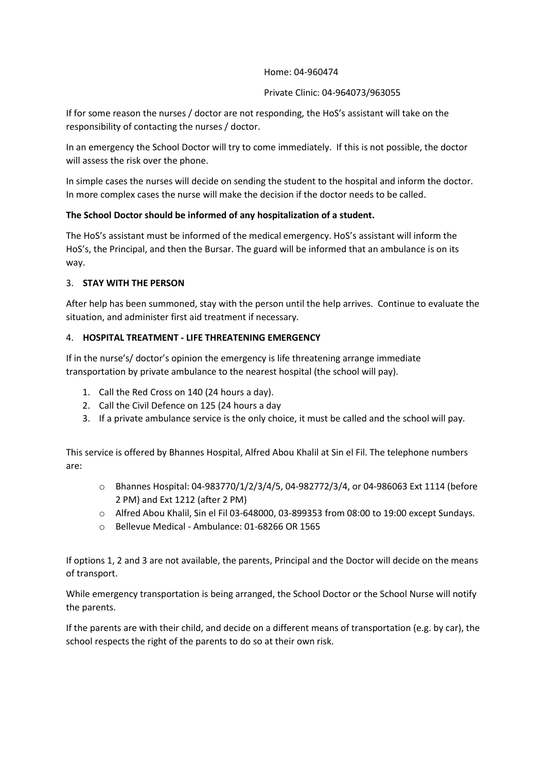#### Home: 04-960474

#### Private Clinic: 04-964073/963055

If for some reason the nurses / doctor are not responding, the HoS's assistant will take on the responsibility of contacting the nurses / doctor.

In an emergency the School Doctor will try to come immediately. If this is not possible, the doctor will assess the risk over the phone.

In simple cases the nurses will decide on sending the student to the hospital and inform the doctor. In more complex cases the nurse will make the decision if the doctor needs to be called.

## **The School Doctor should be informed of any hospitalization of a student.**

The HoS's assistant must be informed of the medical emergency. HoS's assistant will inform the HoS's, the Principal, and then the Bursar. The guard will be informed that an ambulance is on its way.

## 3. **STAY WITH THE PERSON**

After help has been summoned, stay with the person until the help arrives. Continue to evaluate the situation, and administer first aid treatment if necessary.

## 4. **HOSPITAL TREATMENT ‐ LIFE THREATENING EMERGENCY**

If in the nurse's/ doctor's opinion the emergency is life threatening arrange immediate transportation by private ambulance to the nearest hospital (the school will pay).

- 1. Call the Red Cross on 140 (24 hours a day).
- 2. Call the Civil Defence on 125 (24 hours a day
- 3. If a private ambulance service is the only choice, it must be called and the school will pay.

This service is offered by Bhannes Hospital, Alfred Abou Khalil at Sin el Fil. The telephone numbers are:

- o Bhannes Hospital: 04‐983770/1/2/3/4/5, 04‐982772/3/4, or 04‐986063 Ext 1114 (before 2 PM) and Ext 1212 (after 2 PM)
- o Alfred Abou Khalil, Sin el Fil 03‐648000, 03‐899353 from 08:00 to 19:00 except Sundays.
- o Bellevue Medical Ambulance: 01-68266 OR 1565

If options 1, 2 and 3 are not available, the parents, Principal and the Doctor will decide on the means of transport.

While emergency transportation is being arranged, the School Doctor or the School Nurse will notify the parents.

If the parents are with their child, and decide on a different means of transportation (e.g. by car), the school respects the right of the parents to do so at their own risk.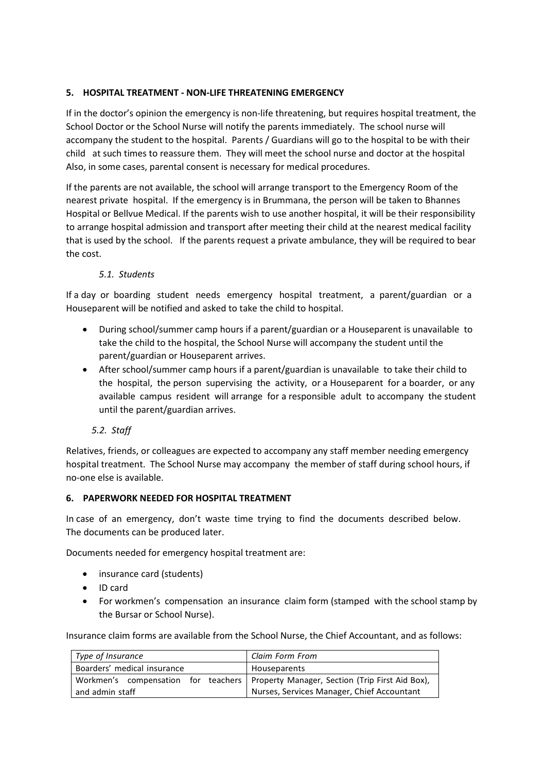## **5. HOSPITAL TREATMENT ‐ NON‐LIFE THREATENING EMERGENCY**

If in the doctor's opinion the emergency is non-life threatening, but requires hospital treatment, the School Doctor or the School Nurse will notify the parents immediately. The school nurse will accompany the student to the hospital. Parents / Guardians will go to the hospital to be with their child at such times to reassure them. They will meet the school nurse and doctor at the hospital Also, in some cases, parental consent is necessary for medical procedures.

If the parents are not available, the school will arrange transport to the Emergency Room of the nearest private hospital. If the emergency is in Brummana, the person will be taken to Bhannes Hospital or Bellvue Medical. If the parents wish to use another hospital, it will be their responsibility to arrange hospital admission and transport after meeting their child at the nearest medical facility that is used by the school. If the parents request a private ambulance, they will be required to bear the cost.

## *5.1. Students*

If a day or boarding student needs emergency hospital treatment, a parent/guardian or a Houseparent will be notified and asked to take the child to hospital.

- During school/summer camp hours if a parent/guardian or a Houseparent is unavailable to take the child to the hospital, the School Nurse will accompany the student until the parent/guardian or Houseparent arrives.
- After school/summer camp hours if a parent/guardian is unavailable to take their child to the hospital, the person supervising the activity, or a Houseparent for a boarder, or any available campus resident will arrange for a responsible adult to accompany the student until the parent/guardian arrives.
	- *5.2. Staff*

Relatives, friends, or colleagues are expected to accompany any staff member needing emergency hospital treatment. The School Nurse may accompany the member of staff during school hours, if no‐one else is available.

## **6. PAPERWORK NEEDED FOR HOSPITAL TREATMENT**

In case of an emergency, don't waste time trying to find the documents described below. The documents can be produced later.

Documents needed for emergency hospital treatment are:

- insurance card (students)
- ID card
- For workmen's compensation an insurance claim form (stamped with the school stamp by the Bursar or School Nurse).

Insurance claim forms are available from the School Nurse, the Chief Accountant, and as follows:

| Type of Insurance           | Claim Form From                                                                       |
|-----------------------------|---------------------------------------------------------------------------------------|
| Boarders' medical insurance | Houseparents                                                                          |
|                             | Workmen's compensation for teachers   Property Manager, Section (Trip First Aid Box), |
| and admin staff             | Nurses, Services Manager, Chief Accountant                                            |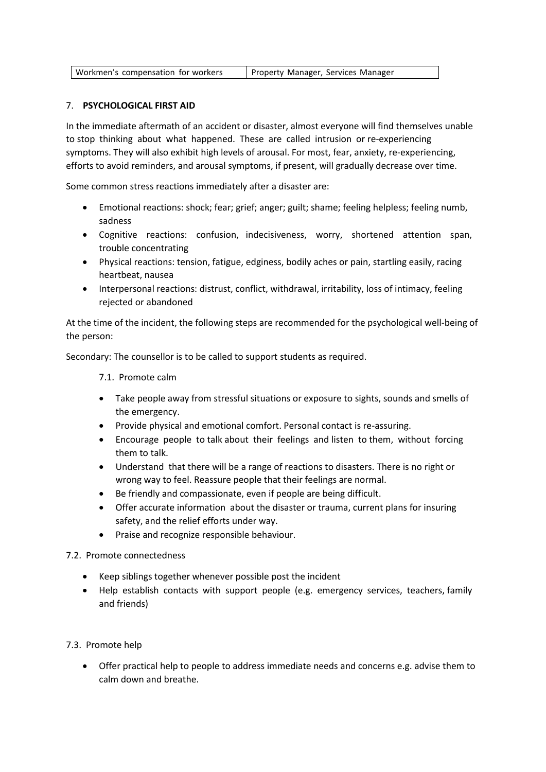| Workmen's compensation for workers | Property Manager, Services Manager |
|------------------------------------|------------------------------------|
|------------------------------------|------------------------------------|

#### 7. **PSYCHOLOGICAL FIRST AID**

In the immediate aftermath of an accident or disaster, almost everyone will find themselves unable to stop thinking about what happened. These are called intrusion or re-experiencing symptoms. They will also exhibit high levels of arousal. For most, fear, anxiety, re-experiencing, efforts to avoid reminders, and arousal symptoms, if present, will gradually decrease over time.

Some common stress reactions immediately after a disaster are:

- Emotional reactions: shock; fear; grief; anger; guilt; shame; feeling helpless; feeling numb, sadness
- Cognitive reactions: confusion, indecisiveness, worry, shortened attention span, trouble concentrating
- Physical reactions: tension, fatigue, edginess, bodily aches or pain, startling easily, racing heartbeat, nausea
- Interpersonal reactions: distrust, conflict, withdrawal, irritability, loss of intimacy, feeling rejected or abandoned

At the time of the incident, the following steps are recommended for the psychological well-being of the person:

Secondary: The counsellor is to be called to support students as required.

7.1. Promote calm

- Take people away from stressful situations or exposure to sights, sounds and smells of the emergency.
- Provide physical and emotional comfort. Personal contact is re‐assuring.
- Encourage people to talk about their feelings and listen to them, without forcing them to talk.
- Understand that there will be a range of reactions to disasters. There is no right or wrong way to feel. Reassure people that their feelings are normal.
- Be friendly and compassionate, even if people are being difficult.
- Offer accurate information about the disaster or trauma, current plans for insuring safety, and the relief efforts under way.
- Praise and recognize responsible behaviour.

#### 7.2. Promote connectedness

- Keep siblings together whenever possible post the incident
- Help establish contacts with support people (e.g. emergency services, teachers, family and friends)

#### 7.3. Promote help

 Offer practical help to people to address immediate needs and concerns e.g. advise them to calm down and breathe.